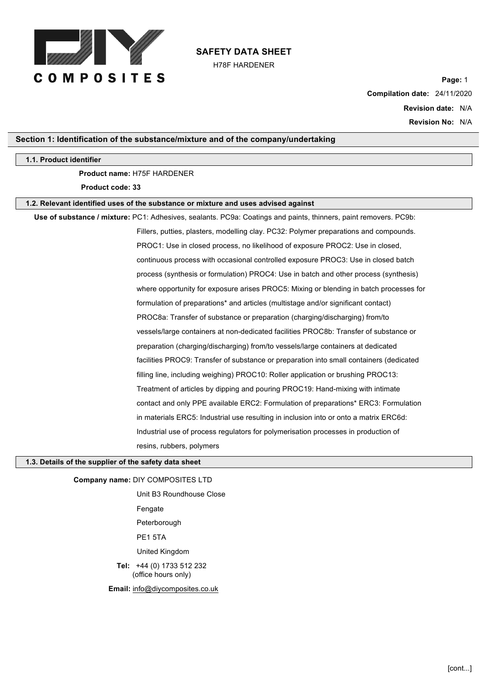

H78F HARDENER

**Page:** 1 **Compilation date:** 24/11/2020

> **Revision date:** N/A **Revision No:** N/A

#### **Section 1: Identification of the substance/mixture and of the company/undertaking**

#### **1.1. Product identifier**

## **Product name:** H75F HARDENER

**Product code: 33**

#### **1.2. Relevant identified uses of the substance or mixture and uses advised against**

**Use of substance / mixture:** PC1: Adhesives, sealants. PC9a: Coatings and paints, thinners, paint removers. PC9b: Fillers, putties, plasters, modelling clay. PC32: Polymer preparations and compounds. PROC1: Use in closed process, no likelihood of exposure PROC2: Use in closed, continuous process with occasional controlled exposure PROC3: Use in closed batch process (synthesis or formulation) PROC4: Use in batch and other process (synthesis) where opportunity for exposure arises PROC5: Mixing or blending in batch processes for formulation of preparations\* and articles (multistage and/or significant contact) PROC8a: Transfer of substance or preparation (charging/discharging) from/to vessels/large containers at non-dedicated facilities PROC8b: Transfer of substance or preparation (charging/discharging) from/to vessels/large containers at dedicated facilities PROC9: Transfer of substance or preparation into small containers (dedicated filling line, including weighing) PROC10: Roller application or brushing PROC13: Treatment of articles by dipping and pouring PROC19: Hand-mixing with intimate contact and only PPE available ERC2: Formulation of preparations\* ERC3: Formulation in materials ERC5: Industrial use resulting in inclusion into or onto a matrix ERC6d: Industrial use of process regulators for polymerisation processes in production of resins, rubbers, polymers

#### **1.3. Details of the supplier of the safety data sheet**

**Company name:** DIY COMPOSITES LTD

Unit B3 Roundhouse Close Fengate Peterborough PE1 5TA United Kingdom **Tel:** +44 (0) 1733 512 232 (office hours only) **Email:** info@diycomposites.co.uk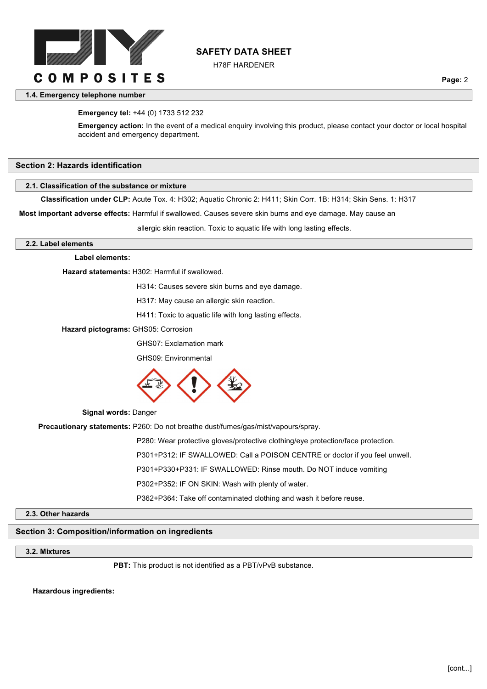

H78F HARDENER

**1.4. Emergency telephone number**

#### **Emergency tel:** +44 (0) 1733 512 232

**Emergency action:** In the event of a medical enquiry involving this product, please contact your doctor or local hospital accident and emergency department.

#### **Section 2: Hazards identification**

#### **2.1. Classification of the substance or mixture**

**Classification under CLP:** Acute Tox. 4: H302; Aquatic Chronic 2: H411; Skin Corr. 1B: H314; Skin Sens. 1: H317

**Most important adverse effects:** Harmful if swallowed. Causes severe skin burns and eye damage. May cause an

allergic skin reaction. Toxic to aquatic life with long lasting effects.

**2.2. Label elements**

#### **Label elements:**

**Hazard statements:** H302: Harmful if swallowed.

H314: Causes severe skin burns and eye damage.

H317: May cause an allergic skin reaction.

H411: Toxic to aquatic life with long lasting effects.

**Hazard pictograms:** GHS05: Corrosion

GHS07: Exclamation mark

GHS09: Environmental



**Signal words:** Danger

**Precautionary statements:** P260: Do not breathe dust/fumes/gas/mist/vapours/spray.

P280: Wear protective gloves/protective clothing/eye protection/face protection.

P301+P312: IF SWALLOWED: Call a POISON CENTRE or doctor if you feel unwell.

P301+P330+P331: IF SWALLOWED: Rinse mouth. Do NOT induce vomiting

P302+P352: IF ON SKIN: Wash with plenty of water.

P362+P364: Take off contaminated clothing and wash it before reuse.

#### **2.3. Other hazards**

# **Section 3: Composition/information on ingredients**

# **3.2. Mixtures**

**PBT:** This product is not identified as a PBT/vPvB substance.

**Hazardous ingredients:**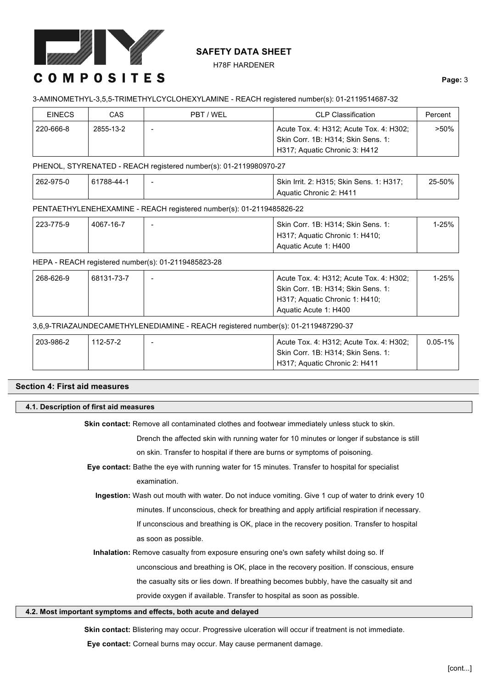

H78F HARDENER

# **COMPOSITES**

## **Page:** 3

## 3-AMINOMETHYL-3,5,5-TRIMETHYLCYCLOHEXYLAMINE - REACH registered number(s): 01-2119514687-32

| <b>EINECS</b> | CAS       | PBT / WEL | <b>CLP Classification</b>               | Percent |
|---------------|-----------|-----------|-----------------------------------------|---------|
| 220-666-8     | 2855-13-2 |           | Acute Tox. 4: H312; Acute Tox. 4: H302; | $>50\%$ |
|               |           |           | Skin Corr. 1B: H314; Skin Sens. 1:      |         |
|               |           |           | H317; Aguatic Chronic 3: H412           |         |

PHENOL, STYRENATED - REACH registered number(s): 01-2119980970-27

| 262-975-0 | 61788-44-1 | Skin Irrit. 2: H315; Skin Sens. 1: H317; | 25-50% |
|-----------|------------|------------------------------------------|--------|
|           |            | Aquatic Chronic 2: H411                  |        |

## PENTAETHYLENEHEXAMINE - REACH registered number(s): 01-2119485826-22

| 223-775-9 | 4067-16-7 | $\overline{\phantom{a}}$ | Skin Corr. 1B: H314: Skin Sens. 1: | 1-25% |
|-----------|-----------|--------------------------|------------------------------------|-------|
|           |           |                          | H317; Aquatic Chronic 1: H410;     |       |
|           |           |                          | Aquatic Acute 1: H400              |       |

## HEPA - REACH registered number(s): 01-2119485823-28

| 268-626-9 | 68131-73-7 | Acute Tox. 4: H312; Acute Tox. 4: H302; | 1-25% |
|-----------|------------|-----------------------------------------|-------|
|           |            | Skin Corr. 1B: H314; Skin Sens. 1:      |       |
|           |            | H317; Aguatic Chronic 1: H410;          |       |
|           |            | Aquatic Acute 1: H400                   |       |

## 3,6,9-TRIAZAUNDECAMETHYLENEDIAMINE - REACH registered number(s): 01-2119487290-37

| 203-986-2 | 112-57-2 | $\sim$ | Acute Tox. 4: H312; Acute Tox. 4: H302; | $0.05 - 1\%$ |
|-----------|----------|--------|-----------------------------------------|--------------|
|           |          |        | Skin Corr. 1B: H314: Skin Sens. 1:      |              |
|           |          |        | H317; Aguatic Chronic 2: H411           |              |

# **Section 4: First aid measures**

## **4.1. Description of first aid measures**

Skin contact: Remove all contaminated clothes and footwear immediately unless stuck to skin.

Drench the affected skin with running water for 10 minutes or longer if substance is still

on skin. Transfer to hospital if there are burns or symptoms of poisoning.

**Eye contact:** Bathe the eye with running water for 15 minutes. Transfer to hospital for specialist

examination.

**Ingestion:** Wash out mouth with water. Do not induce vomiting. Give 1 cup of water to drink every 10 minutes. If unconscious, check for breathing and apply artificial respiration if necessary. If unconscious and breathing is OK, place in the recovery position. Transfer to hospital as soon as possible.

**Inhalation:** Remove casualty from exposure ensuring one's own safety whilst doing so. If

unconscious and breathing is OK, place in the recovery position. If conscious, ensure

the casualty sits or lies down. If breathing becomes bubbly, have the casualty sit and

provide oxygen if available. Transfer to hospital as soon as possible.

#### **4.2. Most important symptoms and effects, both acute and delayed**

**Skin contact:** Blistering may occur. Progressive ulceration will occur if treatment is not immediate.

**Eye contact:** Corneal burns may occur. May cause permanent damage.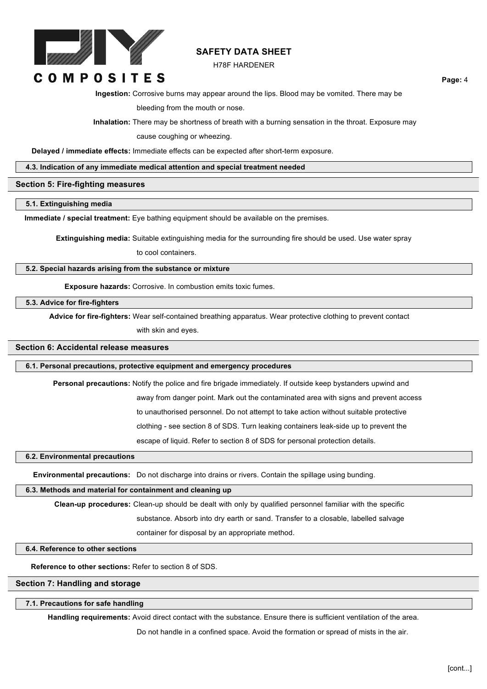

#### H78F HARDENER

**COMPOSITES** 

**Ingestion:** Corrosive burns may appear around the lips. Blood may be vomited. There may be

bleeding from the mouth or nose.

**Inhalation:** There may be shortness of breath with a burning sensation in the throat. Exposure may

cause coughing or wheezing.

**Delayed / immediate effects:** Immediate effects can be expected after short-term exposure.

**4.3. Indication of any immediate medical attention and special treatment needed**

#### **Section 5: Fire-fighting measures**

**5.1. Extinguishing media**

**Immediate / special treatment:** Eye bathing equipment should be available on the premises.

**Extinguishing media:** Suitable extinguishing media for the surrounding fire should be used. Use water spray

to cool containers.

**5.2. Special hazards arising from the substance or mixture**

**Exposure hazards:** Corrosive. In combustion emits toxic fumes.

**5.3. Advice for fire-fighters**

**Advice for fire-fighters:** Wear self-contained breathing apparatus. Wear protective clothing to prevent contact

with skin and eyes.

#### **Section 6: Accidental release measures**

**6.1. Personal precautions, protective equipment and emergency procedures**

**Personal precautions:** Notify the police and fire brigade immediately. If outside keep bystanders upwind and

away from danger point. Mark out the contaminated area with signs and prevent access

to unauthorised personnel. Do not attempt to take action without suitable protective

clothing - see section 8 of SDS. Turn leaking containers leak-side up to prevent the

escape of liquid. Refer to section 8 of SDS for personal protection details.

## **6.2. Environmental precautions**

**Environmental precautions:** Do not discharge into drains or rivers. Contain the spillage using bunding.

#### **6.3. Methods and material for containment and cleaning up**

**Clean-up procedures:** Clean-up should be dealt with only by qualified personnel familiar with the specific

substance. Absorb into dry earth or sand. Transfer to a closable, labelled salvage

container for disposal by an appropriate method.

**6.4. Reference to other sections**

**Reference to other sections:** Refer to section 8 of SDS.

#### **Section 7: Handling and storage**

#### **7.1. Precautions for safe handling**

**Handling requirements:** Avoid direct contact with the substance. Ensure there is sufficient ventilation of the area.

Do not handle in a confined space. Avoid the formation or spread of mists in the air.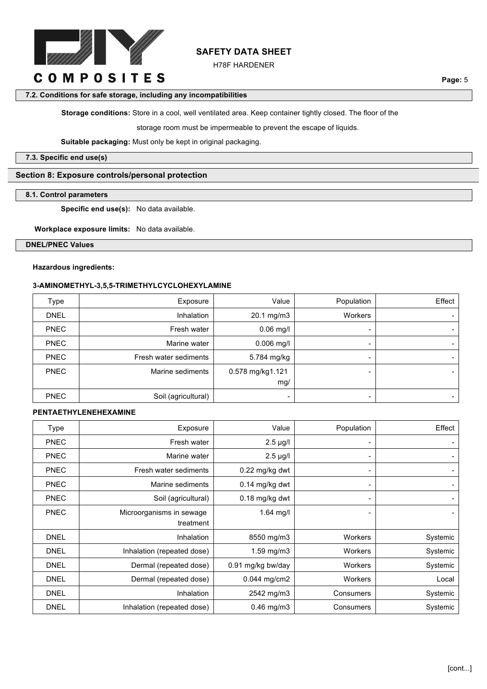

H78F HARDENER

**Page:** 5

#### **7.2. Conditions for safe storage, including any incompatibilities**

**Storage conditions:** Store in a cool, well ventilated area. Keep container tightly closed. The floor of the

storage room must be impermeable to prevent the escape of liquids.

**Suitable packaging:** Must only be kept in original packaging.

**7.3. Specific end use(s)**

# **Section 8: Exposure controls/personal protection**

#### **8.1. Control parameters**

**Specific end use(s):** No data available.

**Workplace exposure limits:** No data available.

**DNEL/PNEC Values**

#### **Hazardous ingredients:**

## **3-AMINOMETHYL-3,5,5-TRIMETHYLCYCLOHEXYLAMINE**

| <b>Type</b> | Exposure              | Value                    | Population | Effect |
|-------------|-----------------------|--------------------------|------------|--------|
| <b>DNEL</b> | Inhalation            | 20.1 mg/m3               | Workers    |        |
| <b>PNEC</b> | Fresh water           | $0.06$ mg/l              |            |        |
| <b>PNEC</b> | Marine water          | $0.006$ mg/l             | -          |        |
| <b>PNEC</b> | Fresh water sediments | 5.784 mg/kg              | -          |        |
| <b>PNEC</b> | Marine sediments      | 0.578 mg/kg1.121         | -          |        |
|             |                       | mg/                      |            |        |
| <b>PNEC</b> | Soil (agricultural)   | $\overline{\phantom{0}}$ | -          |        |

## **PENTAETHYLENEHEXAMINE**

| Type        | Exposure                   | Value             | Population     | Effect         |
|-------------|----------------------------|-------------------|----------------|----------------|
| <b>PNEC</b> | Fresh water                | $2.5 \mu g/l$     |                | -              |
| <b>PNEC</b> | Marine water               | $2.5 \mu g/l$     | -              | $\blacksquare$ |
| <b>PNEC</b> | Fresh water sediments      | 0.22 mg/kg dwt    |                | -              |
| <b>PNEC</b> | Marine sediments           | 0.14 mg/kg dwt    |                | $\blacksquare$ |
| <b>PNEC</b> | Soil (agricultural)        | 0.18 mg/kg dwt    | $\blacksquare$ | $\blacksquare$ |
| <b>PNEC</b> | Microorganisms in sewage   | $1.64$ mg/l       |                | $\blacksquare$ |
|             | treatment                  |                   |                |                |
| <b>DNEL</b> | Inhalation                 | 8550 mg/m3        | <b>Workers</b> | Systemic       |
| <b>DNEL</b> | Inhalation (repeated dose) | 1.59 mg/m3        | <b>Workers</b> | Systemic       |
| <b>DNEL</b> | Dermal (repeated dose)     | 0.91 mg/kg bw/day | <b>Workers</b> | Systemic       |
| <b>DNEL</b> | Dermal (repeated dose)     | 0.044 mg/cm2      | <b>Workers</b> | Local          |
| <b>DNEL</b> | Inhalation                 | 2542 mg/m3        | Consumers      | Systemic       |
| <b>DNEL</b> | Inhalation (repeated dose) | $0.46$ mg/m $3$   | Consumers      | Systemic       |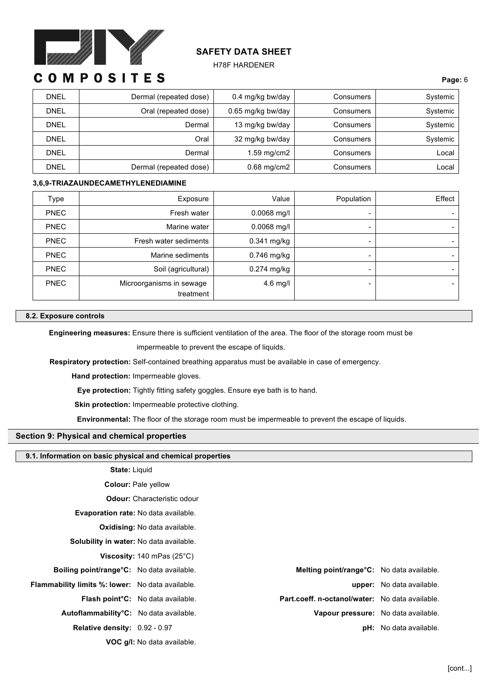

#### H78F HARDENER

# **COMPOSITES**

| <b>DNEL</b> | Dermal (repeated dose) | 0.4 mg/kg bw/day  | Consumers | Systemic |
|-------------|------------------------|-------------------|-----------|----------|
| <b>DNEL</b> | Oral (repeated dose)   | 0.65 mg/kg bw/day | Consumers | Systemic |
| <b>DNEL</b> | Dermal                 | 13 mg/kg bw/day   | Consumers | Systemic |
| <b>DNEL</b> | Oral                   | 32 mg/kg bw/day   | Consumers | Systemic |
| <b>DNEL</b> | Dermal                 | $1.59$ mg/cm2     | Consumers | Local    |
| <b>DNEL</b> | Dermal (repeated dose) | $0.68$ mg/cm2     | Consumers | Local    |

## **3,6,9-TRIAZAUNDECAMETHYLENEDIAMINE**

| Type        | Exposure                 | Value         | Population     | Effect         |
|-------------|--------------------------|---------------|----------------|----------------|
| <b>PNEC</b> | Fresh water              | $0.0068$ mg/l | $\blacksquare$ | $\blacksquare$ |
| <b>PNEC</b> | Marine water             | $0.0068$ mg/l | $\blacksquare$ | $\blacksquare$ |
| <b>PNEC</b> | Fresh water sediments    | $0.341$ mg/kg | -              | $\blacksquare$ |
| <b>PNEC</b> | Marine sediments         | 0.746 mg/kg   |                | $\blacksquare$ |
| <b>PNEC</b> | Soil (agricultural)      | 0.274 mg/kg   | $\blacksquare$ | $\blacksquare$ |
| <b>PNEC</b> | Microorganisms in sewage | $4.6$ mg/l    |                | $\blacksquare$ |
|             | treatment                |               |                |                |

#### **8.2. Exposure controls**

**Engineering measures:** Ensure there is sufficient ventilation of the area. The floor of the storage room must be

impermeable to prevent the escape of liquids.

**Respiratory protection:** Self-contained breathing apparatus must be available in case of emergency.

**Hand protection:** Impermeable gloves.

**Eye protection:** Tightly fitting safety goggles. Ensure eye bath is to hand.

**Skin protection:** Impermeable protective clothing.

**Environmental:** The floor of the storage room must be impermeable to prevent the escape of liquids.

#### **Section 9: Physical and chemical properties**

#### **9.1. Information on basic physical and chemical properties**

| <b>State: Liquid</b> |  |
|----------------------|--|
|                      |  |

**Colour:** Pale yellow

**Odour:** Characteristic odour

**Evaporation rate:** No data available.

**Oxidising:** No data available.

**Solubility in water:** No data available.

**Viscosity:** 140 mPas (25°C)

- **Boiling point/range°C:** No data available. **Melting point/range°C:** No data available.
- 

**VOC g/l:** No data available.

**Flammability limits %: lower:** No data available. **upper:** No data available. **Flash point°C:** No data available. **Part.coeff. n-octanol/water:** No data available. **Autoflammability°C:** No data available. **Vapour pressure:** No data available. **Relative density:** 0.92 - 0.97 **pH:** No data available.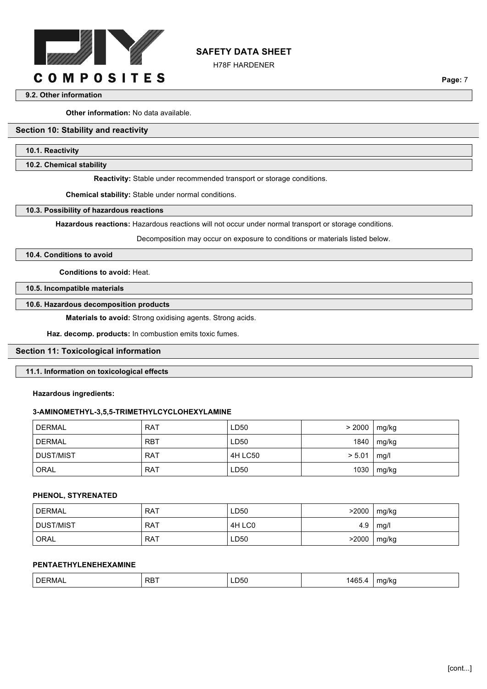

H78F HARDENER

**Page:** 7

#### **9.2. Other information**

**Other information:** No data available.

# **Section 10: Stability and reactivity**

#### **10.1. Reactivity**

**10.2. Chemical stability**

**Reactivity:** Stable under recommended transport or storage conditions.

**Chemical stability:** Stable under normal conditions.

#### **10.3. Possibility of hazardous reactions**

**Hazardous reactions:** Hazardous reactions will not occur under normal transport or storage conditions.

Decomposition may occur on exposure to conditions or materials listed below.

## **10.4. Conditions to avoid**

**Conditions to avoid:** Heat.

**10.5. Incompatible materials**

#### **10.6. Hazardous decomposition products**

**Materials to avoid:** Strong oxidising agents. Strong acids.

**Haz. decomp. products:** In combustion emits toxic fumes.

#### **Section 11: Toxicological information**

#### **11.1. Information on toxicological effects**

#### **Hazardous ingredients:**

#### **3-AMINOMETHYL-3,5,5-TRIMETHYLCYCLOHEXYLAMINE**

| DERMAL        | <b>RAT</b> | LD50    | > 2000 | mg/kg |
|---------------|------------|---------|--------|-------|
| <b>DERMAL</b> | <b>RBT</b> | LD50    | 1840   | mg/kg |
| DUST/MIST     | <b>RAT</b> | 4H LC50 | > 5.01 | mq/l  |
| ORAL          | <b>RAT</b> | LD50    | 1030   | mg/kg |

#### **PHENOL, STYRENATED**

| DERMAL    | <b>RAT</b> | ∟D50   | >2000 | mg/kg |
|-----------|------------|--------|-------|-------|
| DUST/MIST | <b>RAT</b> | 4H LCO | 4.9   | mg/l  |
| ORAL      | <b>RAT</b> | LD50   | >2000 | mg/kg |

#### **PENTAETHYLENEHEXAMINE**

|  | <b>DERMAL</b> | <b>RBT</b> | LD50<br>$\sim$ $\sim$ | ABF<br>τ∪⊾<br>_____ | ma/ko<br>$\cdot$<br>. . |
|--|---------------|------------|-----------------------|---------------------|-------------------------|
|--|---------------|------------|-----------------------|---------------------|-------------------------|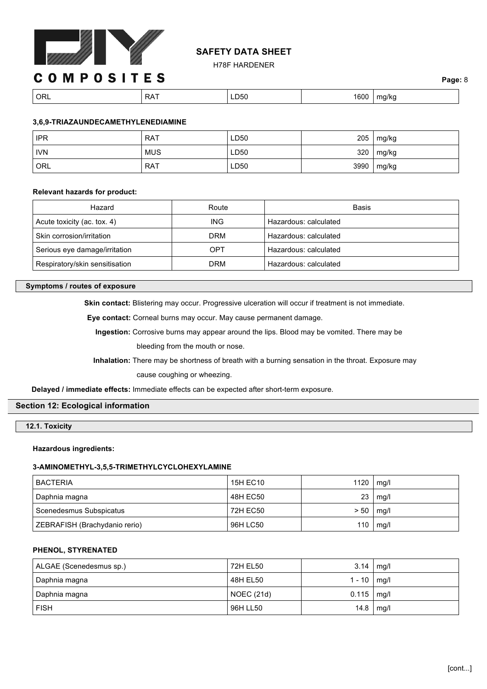

H78F HARDENER

# **COMPOSITES**

| <b>ORL</b> | RA i | --- | con.<br>ουι | na/ko<br>. . |
|------------|------|-----|-------------|--------------|

# **3,6,9-TRIAZAUNDECAMETHYLENEDIAMINE**

| <b>IPR</b> | <b>RAT</b> | LD50 | 205  | mg/kg |
|------------|------------|------|------|-------|
| <b>IVN</b> | <b>MUS</b> | LD50 | 320  | mg/kg |
| ORL        | <b>RAT</b> | LD50 | 3990 | mg/kg |

## **Relevant hazards for product:**

| Hazard                         | Route      | Basis                 |
|--------------------------------|------------|-----------------------|
| Acute toxicity (ac. tox. 4)    | ING.       | Hazardous: calculated |
| Skin corrosion/irritation      | DRM        | Hazardous: calculated |
| Serious eye damage/irritation  | OPT        | Hazardous: calculated |
| Respiratory/skin sensitisation | <b>DRM</b> | Hazardous: calculated |

## **Symptoms / routes of exposure**

**Skin contact:** Blistering may occur. Progressive ulceration will occur if treatment is not immediate.

**Eye contact:** Corneal burns may occur. May cause permanent damage.

**Ingestion:** Corrosive burns may appear around the lips. Blood may be vomited. There may be bleeding from the mouth or nose.

**Inhalation:** There may be shortness of breath with a burning sensation in the throat. Exposure may cause coughing or wheezing.

**Delayed / immediate effects:** Immediate effects can be expected after short-term exposure.

## **Section 12: Ecological information**

**12.1. Toxicity**

## **Hazardous ingredients:**

## **3-AMINOMETHYL-3,5,5-TRIMETHYLCYCLOHEXYLAMINE**

| <b>BACTERIA</b>               | <b>15H EC10</b> | 1120 | mg/l |
|-------------------------------|-----------------|------|------|
| Daphnia magna                 | 48H EC50        | 23   | mq/l |
| Scenedesmus Subspicatus       | 72H EC50        | > 50 | mg/l |
| ZEBRAFISH (Brachydanio rerio) | 96H LC50        | 110  | mg/l |

# **PHENOL, STYRENATED**

| ALGAE (Scenedesmus sp.) | 72H EL50          | 3.14          | mq/l |
|-------------------------|-------------------|---------------|------|
| Daphnia magna           | 48H EL50          | $1 - 10$ mg/l |      |
| Daphnia magna           | <b>NOEC (21d)</b> | 0.115         | mg/l |
| <b>FISH</b>             | 96H LL50          | 14.8          | mg/l |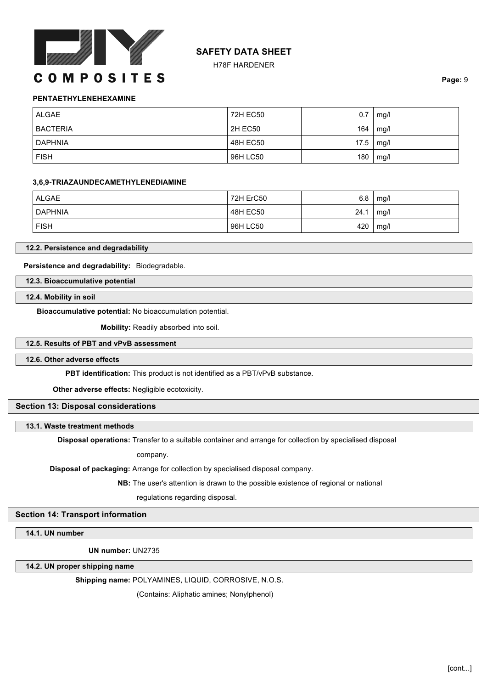

H78F HARDENER

**Page:** 9

## **PENTAETHYLENEHEXAMINE**

| ALGAE           | 72H EC50 | 0.7  | mg/l |
|-----------------|----------|------|------|
| <b>BACTERIA</b> | 2H EC50  | 164  | mg/l |
| DAPHNIA         | 48H EC50 | 17.5 | mg/l |
| <b>FISH</b>     | 96H LC50 | 180  | mg/l |

#### **3,6,9-TRIAZAUNDECAMETHYLENEDIAMINE**

| ALGAE       | 72H ErC50 | 6.8  | mg/l |
|-------------|-----------|------|------|
| DAPHNIA     | 48H EC50  | 24.1 | mg/l |
| <b>FISH</b> | 96H LC50  | 420  | mg/l |

#### **12.2. Persistence and degradability**

**Persistence and degradability:** Biodegradable.

**12.3. Bioaccumulative potential**

**12.4. Mobility in soil**

**Bioaccumulative potential:** No bioaccumulation potential.

**Mobility:** Readily absorbed into soil.

## **12.5. Results of PBT and vPvB assessment**

#### **12.6. Other adverse effects**

**PBT identification:** This product is not identified as a PBT/vPvB substance.

**Other adverse effects:** Negligible ecotoxicity.

## **Section 13: Disposal considerations**

## **13.1. Waste treatment methods**

**Disposal operations:** Transfer to a suitable container and arrange for collection by specialised disposal

company.

**Disposal of packaging:** Arrange for collection by specialised disposal company.

**NB:** The user's attention is drawn to the possible existence of regional or national

regulations regarding disposal.

# **Section 14: Transport information**

**14.1. UN number**

**UN number:** UN2735

**14.2. UN proper shipping name**

**Shipping name:** POLYAMINES, LIQUID, CORROSIVE, N.O.S.

(Contains: Aliphatic amines; Nonylphenol)